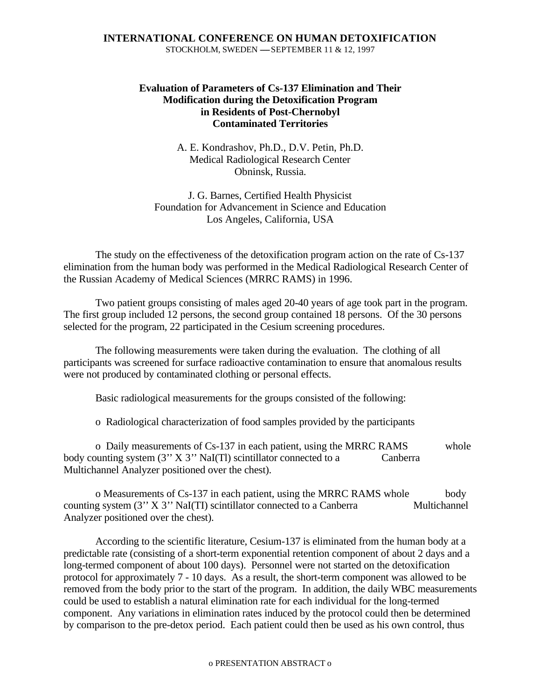# **Evaluation of Parameters of Cs-137 Elimination and Their Modification during the Detoxification Program in Residents of Post-Chernobyl Contaminated Territories**

A. E. Kondrashov, Ph.D., D.V. Petin, Ph.D. Medical Radiological Research Center Obninsk, Russia.

J. G. Barnes, Certified Health Physicist Foundation for Advancement in Science and Education Los Angeles, California, USA

The study on the effectiveness of the detoxification program action on the rate of Cs-137 elimination from the human body was performed in the Medical Radiological Research Center of the Russian Academy of Medical Sciences (MRRC RAMS) in 1996.

Two patient groups consisting of males aged 20-40 years of age took part in the program. The first group included 12 persons, the second group contained 18 persons. Of the 30 persons selected for the program, 22 participated in the Cesium screening procedures.

The following measurements were taken during the evaluation. The clothing of all participants was screened for surface radioactive contamination to ensure that anomalous results were not produced by contaminated clothing or personal effects.

Basic radiological measurements for the groups consisted of the following:

o Radiological characterization of food samples provided by the participants

o Daily measurements of Cs-137 in each patient, using the MRRC RAMS whole body counting system  $(3'' X 3'' NaI(T))$  scintillator connected to a Canberra Multichannel Analyzer positioned over the chest).

o Measurements of Cs-137 in each patient, using the MRRC RAMS whole body counting system (3" X 3" NaI(TI) scintillator connected to a Canberra Multichannel Analyzer positioned over the chest).

According to the scientific literature, Cesium-137 is eliminated from the human body at a predictable rate (consisting of a short-term exponential retention component of about 2 days and a long-termed component of about 100 days). Personnel were not started on the detoxification protocol for approximately 7 - 10 days. As a result, the short-term component was allowed to be removed from the body prior to the start of the program. In addition, the daily WBC measurements could be used to establish a natural elimination rate for each individual for the long-termed component. Any variations in elimination rates induced by the protocol could then be determined by comparison to the pre-detox period. Each patient could then be used as his own control, thus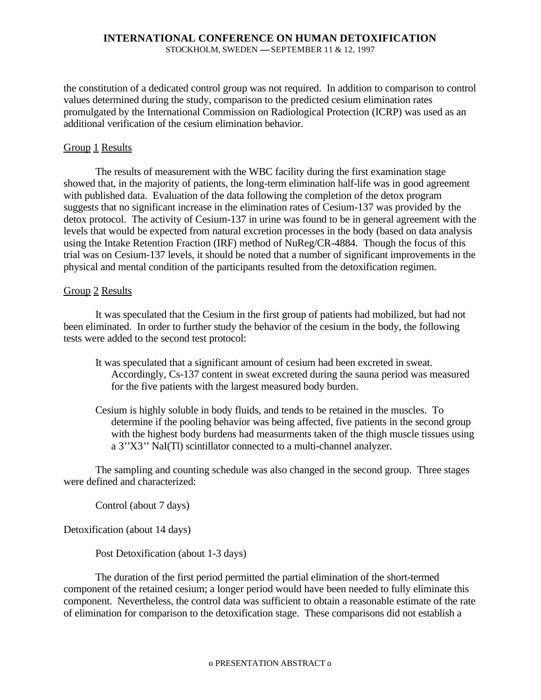#### **INTERNATIONAL CONFERENCE ON HUMAN DETOXIFICATION** STOCKHOLM, SWEDEN  $-$ -SEPTEMBER 11 & 12, 1997

the constitution of a dedicated control group was not required. In addition to comparison to control values determined during the study, comparison to the predicted cesium elimination rates promulgated by the International Commission on Radiological Protection (ICRP) was used as an additional verification of the cesium elimination behavior.

## Group 1 Results

The results of measurement with the WBC facility during the first examination stage showed that, in the majority of patients, the long-term elimination half-life was in good agreement with published data. Evaluation of the data following the completion of the detox program suggests that no significant increase in the elimination rates of Cesium-137 was provided by the detox protocol. The activity of Cesium-137 in urine was found to be in general agreement with the levels that would be expected from natural excretion processes in the body (based on data analysis using the Intake Retention Fraction (IRF) method of NuReg/CR-4884. Though the focus of this trial was on Cesium-137 levels, it should be noted that a number of significant improvements in the physical and mental condition of the participants resulted from the detoxification regimen.

## Group 2 Results

It was speculated that the Cesium in the first group of patients had mobilized, but had not been eliminated. In order to further study the behavior of the cesium in the body, the following tests were added to the second test protocol:

- It was speculated that a significant amount of cesium had been excreted in sweat. Accordingly, Cs-137 content in sweat excreted during the sauna period was measured for the five patients with the largest measured body burden.
- Cesium is highly soluble in body fluids, and tends to be retained in the muscles. To determine if the pooling behavior was being affected, five patients in the second group with the highest body burdens had measurments taken of the thigh muscle tissues using a 3''X3'' NaI(Tl) scintillator connected to a multi-channel analyzer.

The sampling and counting schedule was also changed in the second group. Three stages were defined and characterized:

Control (about 7 days)

Detoxification (about 14 days)

Post Detoxification (about 1-3 days)

The duration of the first period permitted the partial elimination of the short-termed component of the retained cesium; a longer period would have been needed to fully eliminate this component. Nevertheless, the control data was sufficient to obtain a reasonable estimate of the rate of elimination for comparison to the detoxification stage. These comparisons did not establish a